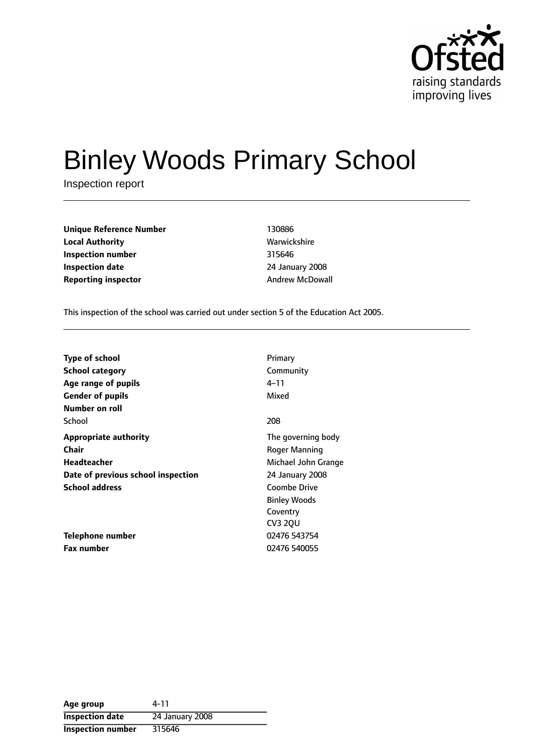

# Binley Woods Primary School

Inspection report

**Unique Reference Number** 130886 **Local Authority Mathority** Warwickshire **Inspection number** 315646 **Inspection date** 24 January 2008 **Reporting inspector Andrew McDowall** 

This inspection of the school was carried out under section 5 of the Education Act 2005.

| <b>Type of school</b>              | Primary             |
|------------------------------------|---------------------|
| <b>School category</b>             | Community           |
| Age range of pupils                | 4–11                |
| <b>Gender of pupils</b>            | Mixed               |
| Number on roll                     |                     |
| School                             | 208                 |
| <b>Appropriate authority</b>       | The governing body  |
| <b>Chair</b>                       | Roger Manning       |
| Headteacher                        | Michael John Grange |
| Date of previous school inspection | 24 January 2008     |
| <b>School address</b>              | <b>Coombe Drive</b> |
|                                    | <b>Binley Woods</b> |
|                                    | Coventry            |
|                                    | CV3 2QU             |
| Telephone number                   | 02476 543754        |
| <b>Fax number</b>                  | 02476 540055        |

| Age group                | 4-11            |
|--------------------------|-----------------|
| <b>Inspection date</b>   | 24 January 2008 |
| <b>Inspection number</b> | 315646          |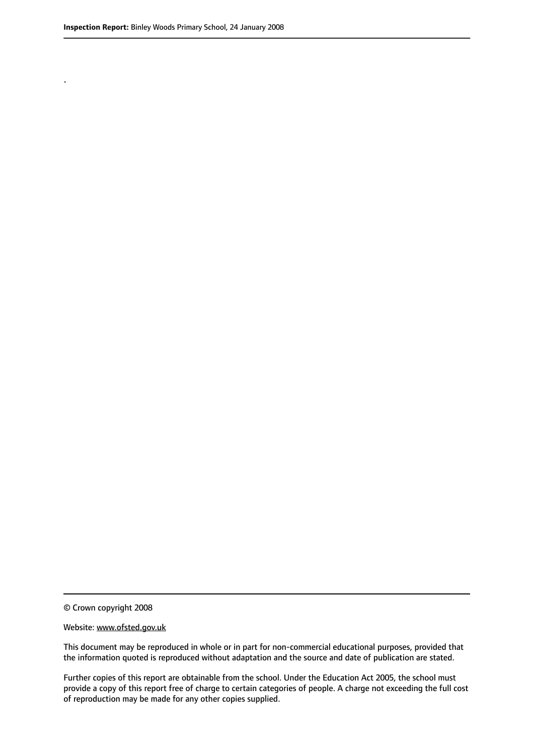.

© Crown copyright 2008

#### Website: www.ofsted.gov.uk

This document may be reproduced in whole or in part for non-commercial educational purposes, provided that the information quoted is reproduced without adaptation and the source and date of publication are stated.

Further copies of this report are obtainable from the school. Under the Education Act 2005, the school must provide a copy of this report free of charge to certain categories of people. A charge not exceeding the full cost of reproduction may be made for any other copies supplied.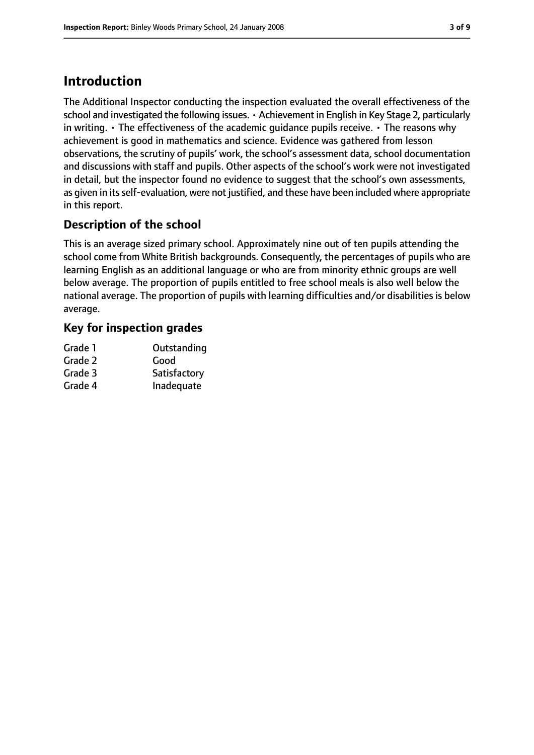# **Introduction**

The Additional Inspector conducting the inspection evaluated the overall effectiveness of the school and investigated the following issues. • Achievement in English in Key Stage 2, particularly in writing.  $\cdot$  The effectiveness of the academic quidance pupils receive.  $\cdot$  The reasons why achievement is good in mathematics and science. Evidence was gathered from lesson observations, the scrutiny of pupils' work, the school's assessment data, school documentation and discussions with staff and pupils. Other aspects of the school's work were not investigated in detail, but the inspector found no evidence to suggest that the school's own assessments, as given in its self-evaluation, were not justified, and these have been included where appropriate in this report.

## **Description of the school**

This is an average sized primary school. Approximately nine out of ten pupils attending the school come from White British backgrounds. Consequently, the percentages of pupils who are learning English as an additional language or who are from minority ethnic groups are well below average. The proportion of pupils entitled to free school meals is also well below the national average. The proportion of pupils with learning difficulties and/or disabilities is below average.

#### **Key for inspection grades**

| Grade 1 | Outstanding  |
|---------|--------------|
| Grade 2 | Good         |
| Grade 3 | Satisfactory |
| Grade 4 | Inadequate   |
|         |              |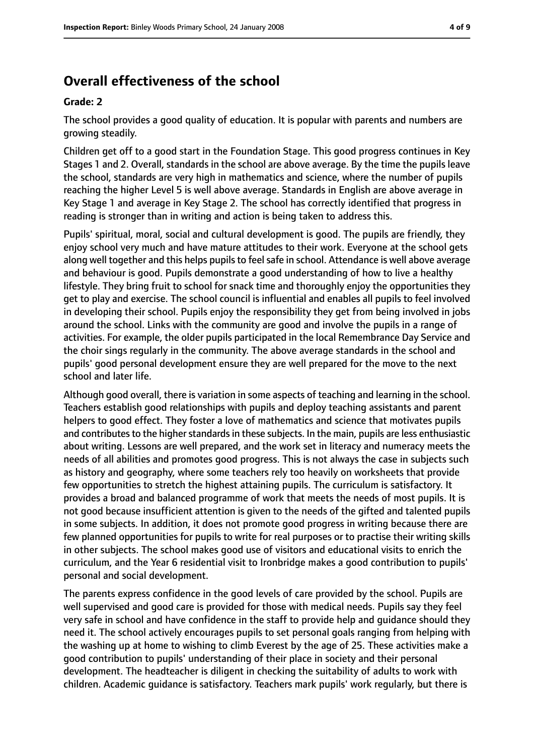## **Overall effectiveness of the school**

#### **Grade: 2**

The school provides a good quality of education. It is popular with parents and numbers are growing steadily.

Children get off to a good start in the Foundation Stage. This good progress continues in Key Stages 1 and 2. Overall, standards in the school are above average. By the time the pupils leave the school, standards are very high in mathematics and science, where the number of pupils reaching the higher Level 5 is well above average. Standards in English are above average in Key Stage 1 and average in Key Stage 2. The school has correctly identified that progress in reading is stronger than in writing and action is being taken to address this.

Pupils' spiritual, moral, social and cultural development is good. The pupils are friendly, they enjoy school very much and have mature attitudes to their work. Everyone at the school gets along well together and this helps pupils to feel safe in school. Attendance is well above average and behaviour is good. Pupils demonstrate a good understanding of how to live a healthy lifestyle. They bring fruit to school for snack time and thoroughly enjoy the opportunities they get to play and exercise. The school council is influential and enables all pupils to feel involved in developing their school. Pupils enjoy the responsibility they get from being involved in jobs around the school. Links with the community are good and involve the pupils in a range of activities. For example, the older pupils participated in the local Remembrance Day Service and the choir sings regularly in the community. The above average standards in the school and pupils' good personal development ensure they are well prepared for the move to the next school and later life.

Although good overall, there is variation in some aspects of teaching and learning in the school. Teachers establish good relationships with pupils and deploy teaching assistants and parent helpers to good effect. They foster a love of mathematics and science that motivates pupils and contributes to the higher standards in these subjects. In the main, pupils are less enthusiastic about writing. Lessons are well prepared, and the work set in literacy and numeracy meets the needs of all abilities and promotes good progress. This is not always the case in subjects such as history and geography, where some teachers rely too heavily on worksheets that provide few opportunities to stretch the highest attaining pupils. The curriculum is satisfactory. It provides a broad and balanced programme of work that meets the needs of most pupils. It is not good because insufficient attention is given to the needs of the gifted and talented pupils in some subjects. In addition, it does not promote good progress in writing because there are few planned opportunities for pupils to write for real purposes or to practise their writing skills in other subjects. The school makes good use of visitors and educational visits to enrich the curriculum, and the Year 6 residential visit to Ironbridge makes a good contribution to pupils' personal and social development.

The parents express confidence in the good levels of care provided by the school. Pupils are well supervised and good care is provided for those with medical needs. Pupils say they feel very safe in school and have confidence in the staff to provide help and guidance should they need it. The school actively encourages pupils to set personal goals ranging from helping with the washing up at home to wishing to climb Everest by the age of 25. These activities make a good contribution to pupils' understanding of their place in society and their personal development. The headteacher is diligent in checking the suitability of adults to work with children. Academic guidance is satisfactory. Teachers mark pupils' work regularly, but there is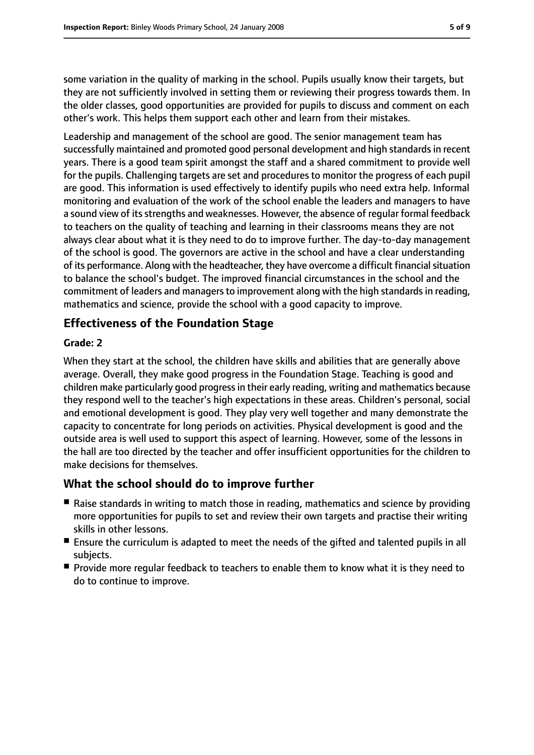some variation in the quality of marking in the school. Pupils usually know their targets, but they are not sufficiently involved in setting them or reviewing their progress towards them. In the older classes, good opportunities are provided for pupils to discuss and comment on each other's work. This helps them support each other and learn from their mistakes.

Leadership and management of the school are good. The senior management team has successfully maintained and promoted good personal development and high standardsin recent years. There is a good team spirit amongst the staff and a shared commitment to provide well for the pupils. Challenging targets are set and procedures to monitor the progress of each pupil are good. This information is used effectively to identify pupils who need extra help. Informal monitoring and evaluation of the work of the school enable the leaders and managers to have a sound view of its strengths and weaknesses. However, the absence of regular formal feedback to teachers on the quality of teaching and learning in their classrooms means they are not always clear about what it is they need to do to improve further. The day-to-day management of the school is good. The governors are active in the school and have a clear understanding of its performance. Along with the headteacher, they have overcome a difficult financial situation to balance the school's budget. The improved financial circumstances in the school and the commitment of leaders and managers to improvement along with the high standards in reading, mathematics and science, provide the school with a good capacity to improve.

### **Effectiveness of the Foundation Stage**

#### **Grade: 2**

When they start at the school, the children have skills and abilities that are generally above average. Overall, they make good progress in the Foundation Stage. Teaching is good and children make particularly good progressin their early reading, writing and mathematics because they respond well to the teacher's high expectations in these areas. Children's personal, social and emotional development is good. They play very well together and many demonstrate the capacity to concentrate for long periods on activities. Physical development is good and the outside area is well used to support this aspect of learning. However, some of the lessons in the hall are too directed by the teacher and offer insufficient opportunities for the children to make decisions for themselves.

#### **What the school should do to improve further**

- Raise standards in writing to match those in reading, mathematics and science by providing more opportunities for pupils to set and review their own targets and practise their writing skills in other lessons.
- Ensure the curriculum is adapted to meet the needs of the gifted and talented pupils in all subjects.
- Provide more regular feedback to teachers to enable them to know what it is they need to do to continue to improve.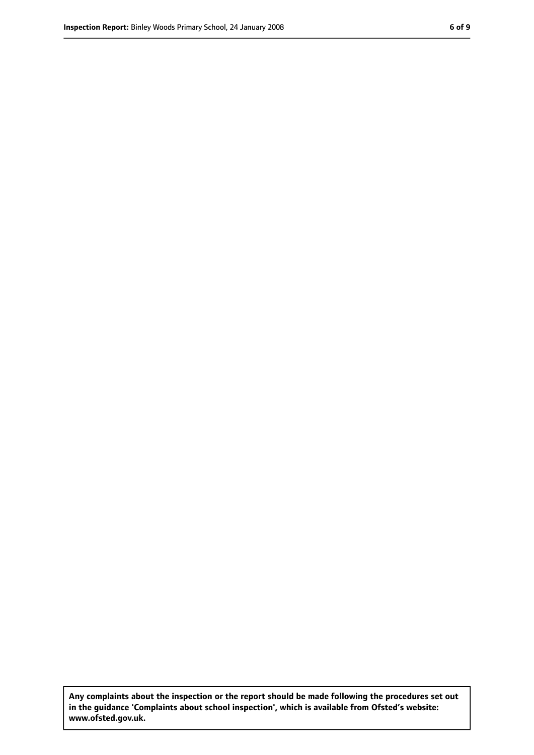**Any complaints about the inspection or the report should be made following the procedures set out in the guidance 'Complaints about school inspection', which is available from Ofsted's website: www.ofsted.gov.uk.**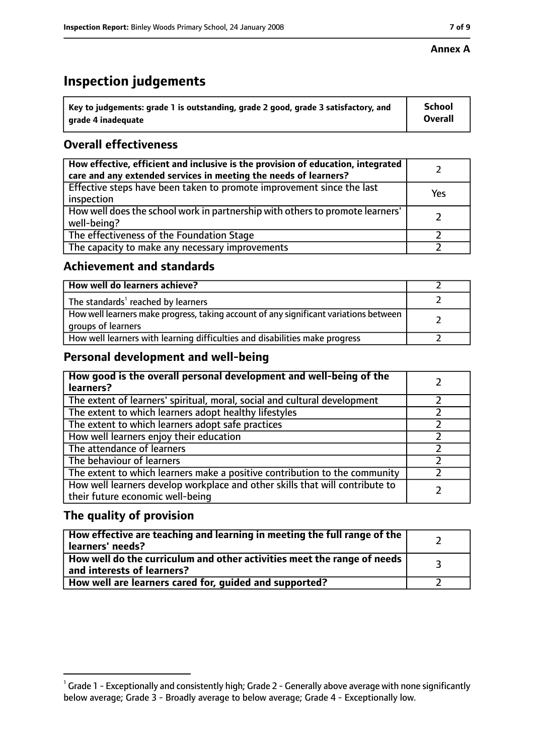#### **Annex A**

# **Inspection judgements**

| $^{\backprime}$ Key to judgements: grade 1 is outstanding, grade 2 good, grade 3 satisfactory, and | <b>School</b>  |
|----------------------------------------------------------------------------------------------------|----------------|
| arade 4 inadequate                                                                                 | <b>Overall</b> |

## **Overall effectiveness**

| How effective, efficient and inclusive is the provision of education, integrated<br>care and any extended services in meeting the needs of learners? |     |
|------------------------------------------------------------------------------------------------------------------------------------------------------|-----|
| Effective steps have been taken to promote improvement since the last<br>inspection                                                                  | Yes |
| How well does the school work in partnership with others to promote learners'<br>well-being?                                                         |     |
| The effectiveness of the Foundation Stage                                                                                                            |     |
| The capacity to make any necessary improvements                                                                                                      |     |

#### **Achievement and standards**

| How well do learners achieve?                                                                               |  |
|-------------------------------------------------------------------------------------------------------------|--|
| The standards <sup>1</sup> reached by learners                                                              |  |
| How well learners make progress, taking account of any significant variations between<br>groups of learners |  |
| How well learners with learning difficulties and disabilities make progress                                 |  |

#### **Personal development and well-being**

| How good is the overall personal development and well-being of the<br>learners?                                  |  |
|------------------------------------------------------------------------------------------------------------------|--|
| The extent of learners' spiritual, moral, social and cultural development                                        |  |
| The extent to which learners adopt healthy lifestyles                                                            |  |
| The extent to which learners adopt safe practices                                                                |  |
| How well learners enjoy their education                                                                          |  |
| The attendance of learners                                                                                       |  |
| The behaviour of learners                                                                                        |  |
| The extent to which learners make a positive contribution to the community                                       |  |
| How well learners develop workplace and other skills that will contribute to<br>their future economic well-being |  |

#### **The quality of provision**

| How effective are teaching and learning in meeting the full range of the<br>learners' needs?          |  |
|-------------------------------------------------------------------------------------------------------|--|
| How well do the curriculum and other activities meet the range of needs<br>and interests of learners? |  |
| How well are learners cared for, guided and supported?                                                |  |

 $^1$  Grade 1 - Exceptionally and consistently high; Grade 2 - Generally above average with none significantly below average; Grade 3 - Broadly average to below average; Grade 4 - Exceptionally low.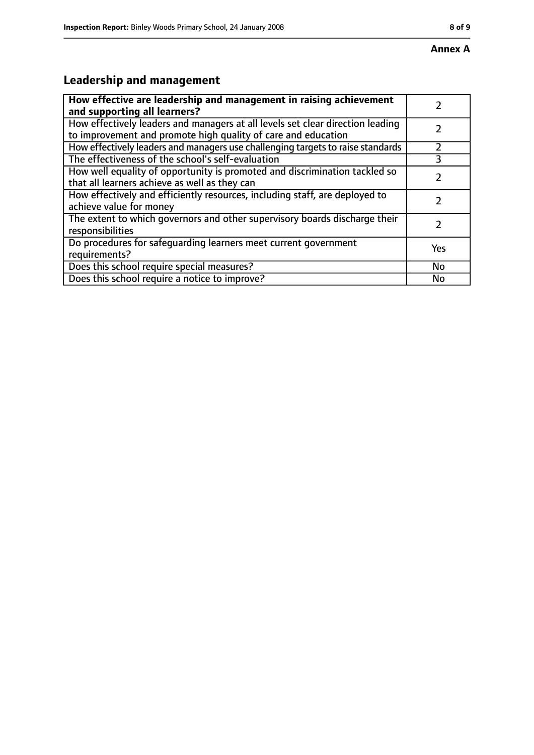# **Leadership and management**

| How effective are leadership and management in raising achievement<br>and supporting all learners?                                              |     |
|-------------------------------------------------------------------------------------------------------------------------------------------------|-----|
| How effectively leaders and managers at all levels set clear direction leading<br>to improvement and promote high quality of care and education |     |
| How effectively leaders and managers use challenging targets to raise standards                                                                 |     |
| The effectiveness of the school's self-evaluation                                                                                               | 3   |
| How well equality of opportunity is promoted and discrimination tackled so<br>that all learners achieve as well as they can                     |     |
| How effectively and efficiently resources, including staff, are deployed to<br>achieve value for money                                          |     |
| The extent to which governors and other supervisory boards discharge their<br>responsibilities                                                  |     |
| Do procedures for safequarding learners meet current government<br>requirements?                                                                | Yes |
| Does this school require special measures?                                                                                                      | No  |
| Does this school require a notice to improve?                                                                                                   | No  |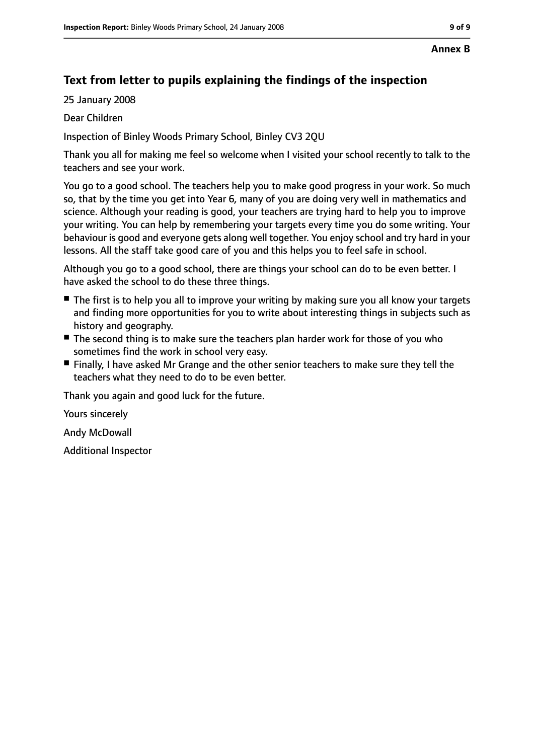#### **Annex B**

#### **Text from letter to pupils explaining the findings of the inspection**

25 January 2008

Dear Children

Inspection of Binley Woods Primary School, Binley CV3 2QU

Thank you all for making me feel so welcome when I visited your school recently to talk to the teachers and see your work.

You go to a good school. The teachers help you to make good progress in your work. So much so, that by the time you get into Year 6, many of you are doing very well in mathematics and science. Although your reading is good, your teachers are trying hard to help you to improve your writing. You can help by remembering your targets every time you do some writing. Your behaviour is good and everyone gets along well together. You enjoy school and try hard in your lessons. All the staff take good care of you and this helps you to feel safe in school.

Although you go to a good school, there are things your school can do to be even better. I have asked the school to do these three things.

- The first is to help you all to improve your writing by making sure you all know your targets and finding more opportunities for you to write about interesting things in subjects such as history and geography.
- The second thing is to make sure the teachers plan harder work for those of you who sometimes find the work in school very easy.
- Finally, I have asked Mr Grange and the other senior teachers to make sure they tell the teachers what they need to do to be even better.

Thank you again and good luck for the future.

Yours sincerely

Andy McDowall

Additional Inspector